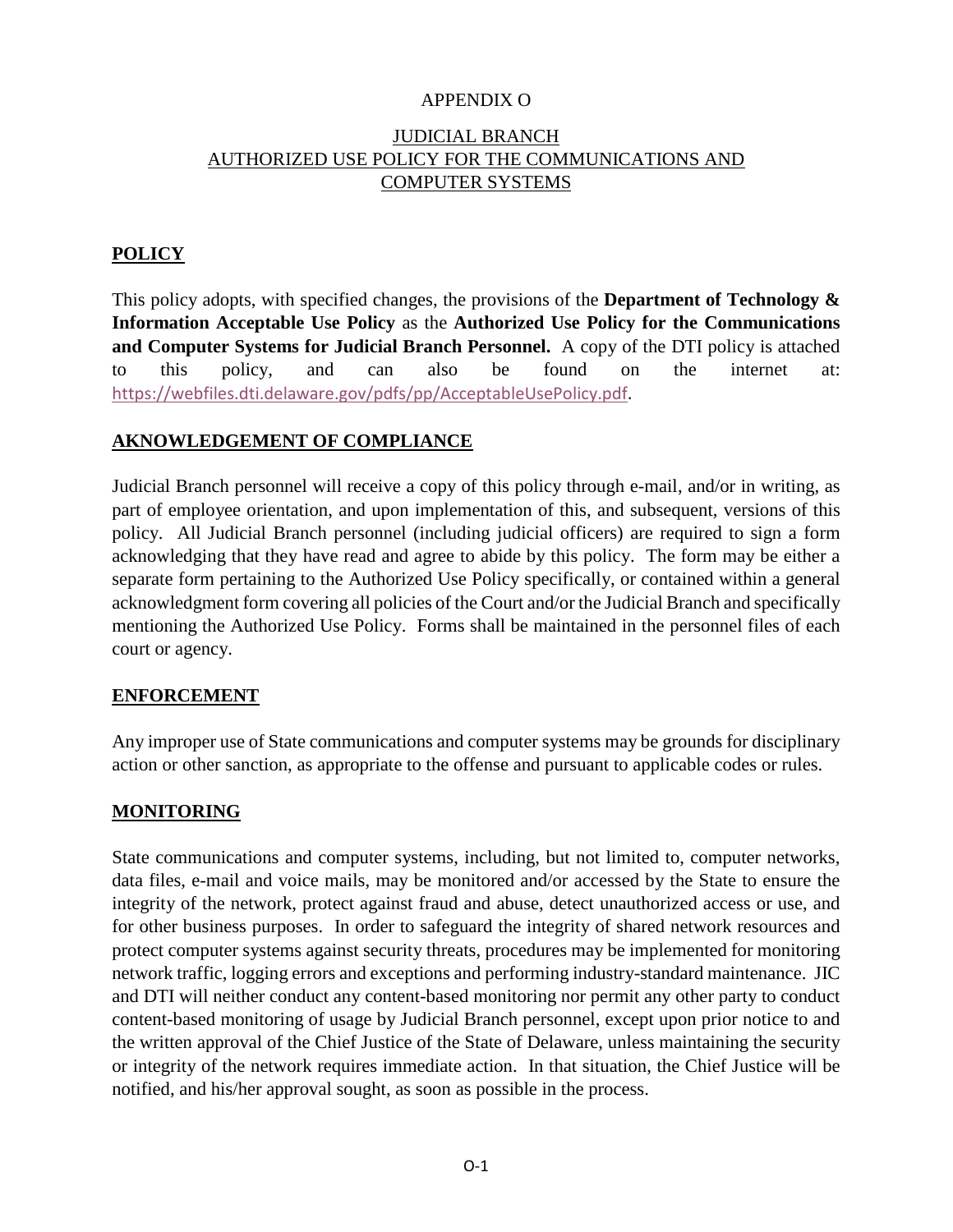## APPENDIX O

# JUDICIAL BRANCH AUTHORIZED USE POLICY FOR THE COMMUNICATIONS AND COMPUTER SYSTEMS

# **POLICY**

This policy adopts, with specified changes, the provisions of the **Department of Technology & Information Acceptable Use Policy** as the **Authorized Use Policy for the Communications and Computer Systems for Judicial Branch Personnel.** A copy of the DTI policy is attached to this policy, and can also be found on the internet at: [https://webfiles.dti.delaware.gov/pdfs/pp/AcceptableUsePolicy.pdf.](https://webfiles.dti.delaware.gov/pdfs/pp/AcceptableUsePolicy.pdf)

# **AKNOWLEDGEMENT OF COMPLIANCE**

Judicial Branch personnel will receive a copy of this policy through e-mail, and/or in writing, as part of employee orientation, and upon implementation of this, and subsequent, versions of this policy. All Judicial Branch personnel (including judicial officers) are required to sign a form acknowledging that they have read and agree to abide by this policy. The form may be either a separate form pertaining to the Authorized Use Policy specifically, or contained within a general acknowledgment form covering all policies of the Court and/or the Judicial Branch and specifically mentioning the Authorized Use Policy. Forms shall be maintained in the personnel files of each court or agency.

## **ENFORCEMENT**

Any improper use of State communications and computer systems may be grounds for disciplinary action or other sanction, as appropriate to the offense and pursuant to applicable codes or rules.

# **MONITORING**

State communications and computer systems, including, but not limited to, computer networks, data files, e-mail and voice mails, may be monitored and/or accessed by the State to ensure the integrity of the network, protect against fraud and abuse, detect unauthorized access or use, and for other business purposes. In order to safeguard the integrity of shared network resources and protect computer systems against security threats, procedures may be implemented for monitoring network traffic, logging errors and exceptions and performing industry-standard maintenance. JIC and DTI will neither conduct any content-based monitoring nor permit any other party to conduct content-based monitoring of usage by Judicial Branch personnel, except upon prior notice to and the written approval of the Chief Justice of the State of Delaware, unless maintaining the security or integrity of the network requires immediate action. In that situation, the Chief Justice will be notified, and his/her approval sought, as soon as possible in the process.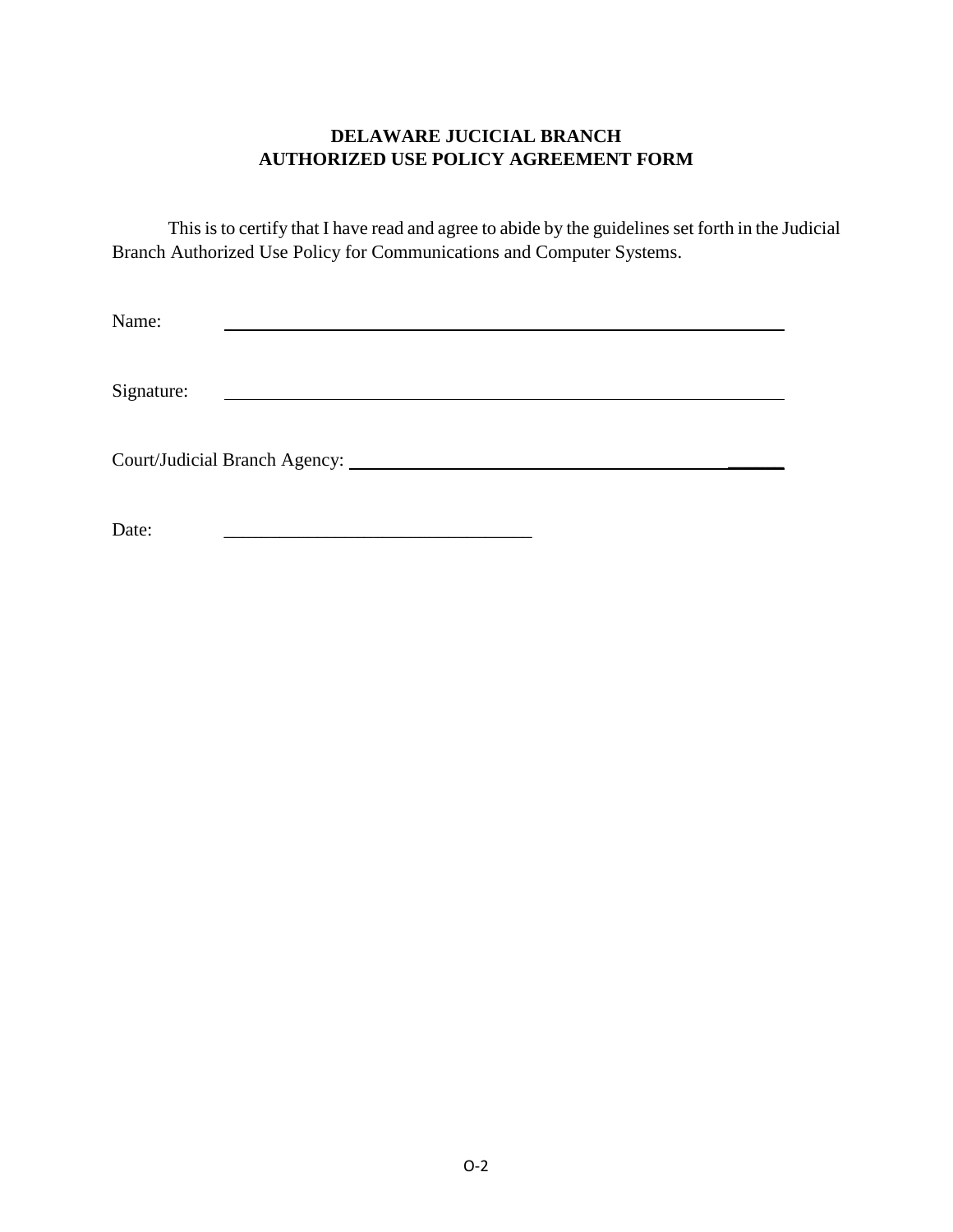# **DELAWARE JUCICIAL BRANCH AUTHORIZED USE POLICY AGREEMENT FORM**

This is to certify that I have read and agree to abide by the guidelines set forth in the Judicial Branch Authorized Use Policy for Communications and Computer Systems.

<u> 1989 - Andrea Stadt Britain, amerikansk politiker (</u>

Name: <u> 1989 - Andrea Stadt Britain, amerikansk politiker (</u>

Signature:

Court/Judicial Branch Agency: \_\_\_\_\_\_

Date: \_\_\_\_\_\_\_\_\_\_\_\_\_\_\_\_\_\_\_\_\_\_\_\_\_\_\_\_\_\_\_\_\_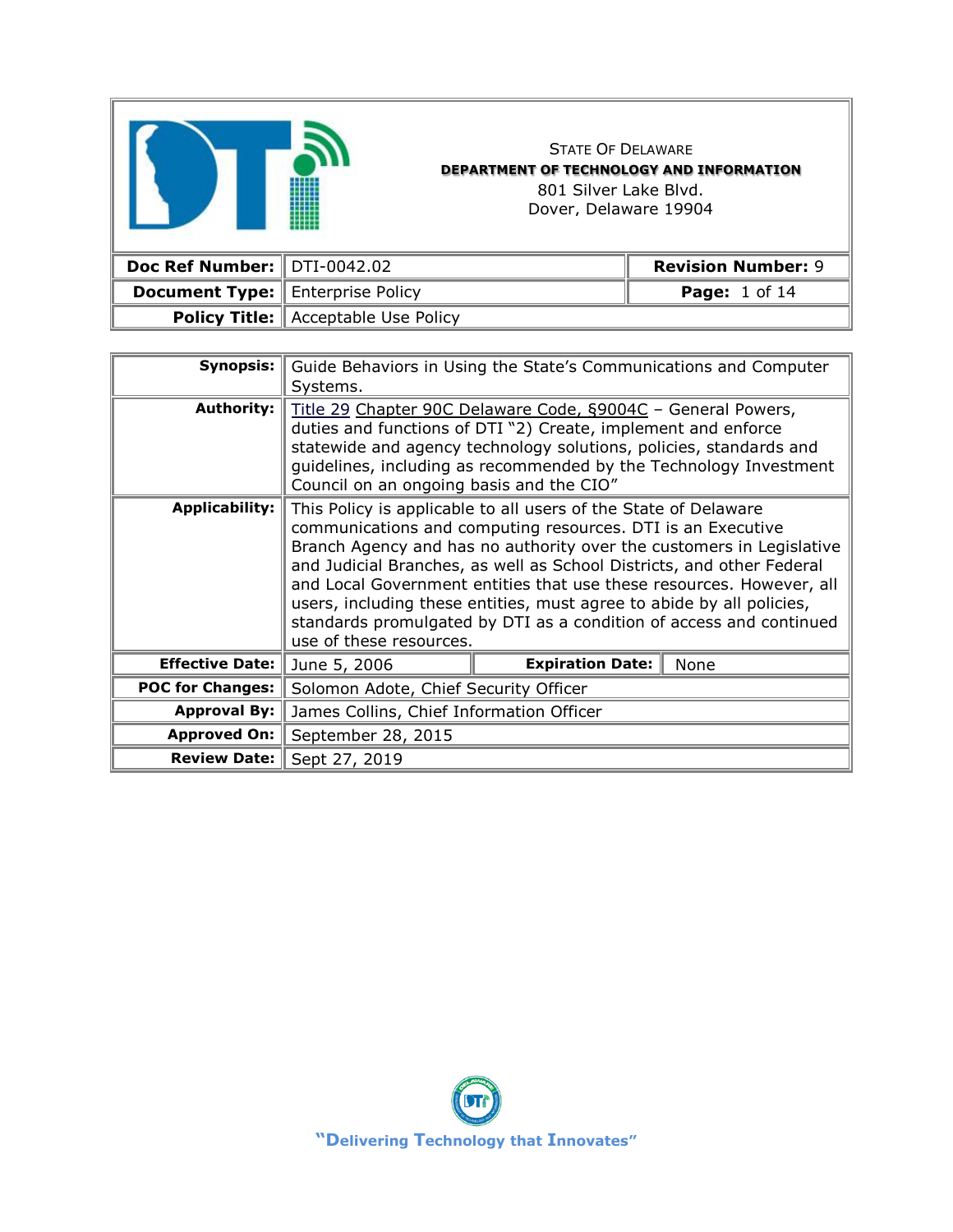|                               |                                            | <b>STATE OF DELAWARE</b><br><b>DEPARTMENT OF TECHNOLOGY AND INFORMATION</b><br>801 Silver Lake Blyd.<br>Dover, Delaware 19904 |                           |
|-------------------------------|--------------------------------------------|-------------------------------------------------------------------------------------------------------------------------------|---------------------------|
| Doc Ref Number:   DTI-0042.02 |                                            |                                                                                                                               | <b>Revision Number: 9</b> |
| <b>Document Type:</b>         | <b>Enterprise Policy</b>                   |                                                                                                                               | <b>Page:</b> 1 of 14      |
|                               | <b>Policy Title:</b> Acceptable Use Policy |                                                                                                                               |                           |

 $\overline{1}$ 

| Synopsis:               | Guide Behaviors in Using the State's Communications and Computer<br>Systems.                                                                                                                                                                                                                                                                                                                                                                                                                                                       |
|-------------------------|------------------------------------------------------------------------------------------------------------------------------------------------------------------------------------------------------------------------------------------------------------------------------------------------------------------------------------------------------------------------------------------------------------------------------------------------------------------------------------------------------------------------------------|
| <b>Authority:</b>       | Title 29 Chapter 90C Delaware Code, §9004C - General Powers,<br>duties and functions of DTI "2) Create, implement and enforce<br>statewide and agency technology solutions, policies, standards and<br>guidelines, including as recommended by the Technology Investment<br>Council on an ongoing basis and the CIO"                                                                                                                                                                                                               |
| <b>Applicability:</b>   | This Policy is applicable to all users of the State of Delaware<br>communications and computing resources. DTI is an Executive<br>Branch Agency and has no authority over the customers in Legislative<br>and Judicial Branches, as well as School Districts, and other Federal<br>and Local Government entities that use these resources. However, all<br>users, including these entities, must agree to abide by all policies,<br>standards promulgated by DTI as a condition of access and continued<br>use of these resources. |
| <b>Effective Date:</b>  | <b>Expiration Date:</b><br>None<br>June 5, 2006                                                                                                                                                                                                                                                                                                                                                                                                                                                                                    |
| <b>POC for Changes:</b> | Solomon Adote, Chief Security Officer                                                                                                                                                                                                                                                                                                                                                                                                                                                                                              |
| <b>Approval By:</b>     | James Collins, Chief Information Officer                                                                                                                                                                                                                                                                                                                                                                                                                                                                                           |
| <b>Approved On:</b>     | September 28, 2015                                                                                                                                                                                                                                                                                                                                                                                                                                                                                                                 |
| <b>Review Date:</b>     | Sept 27, 2019                                                                                                                                                                                                                                                                                                                                                                                                                                                                                                                      |

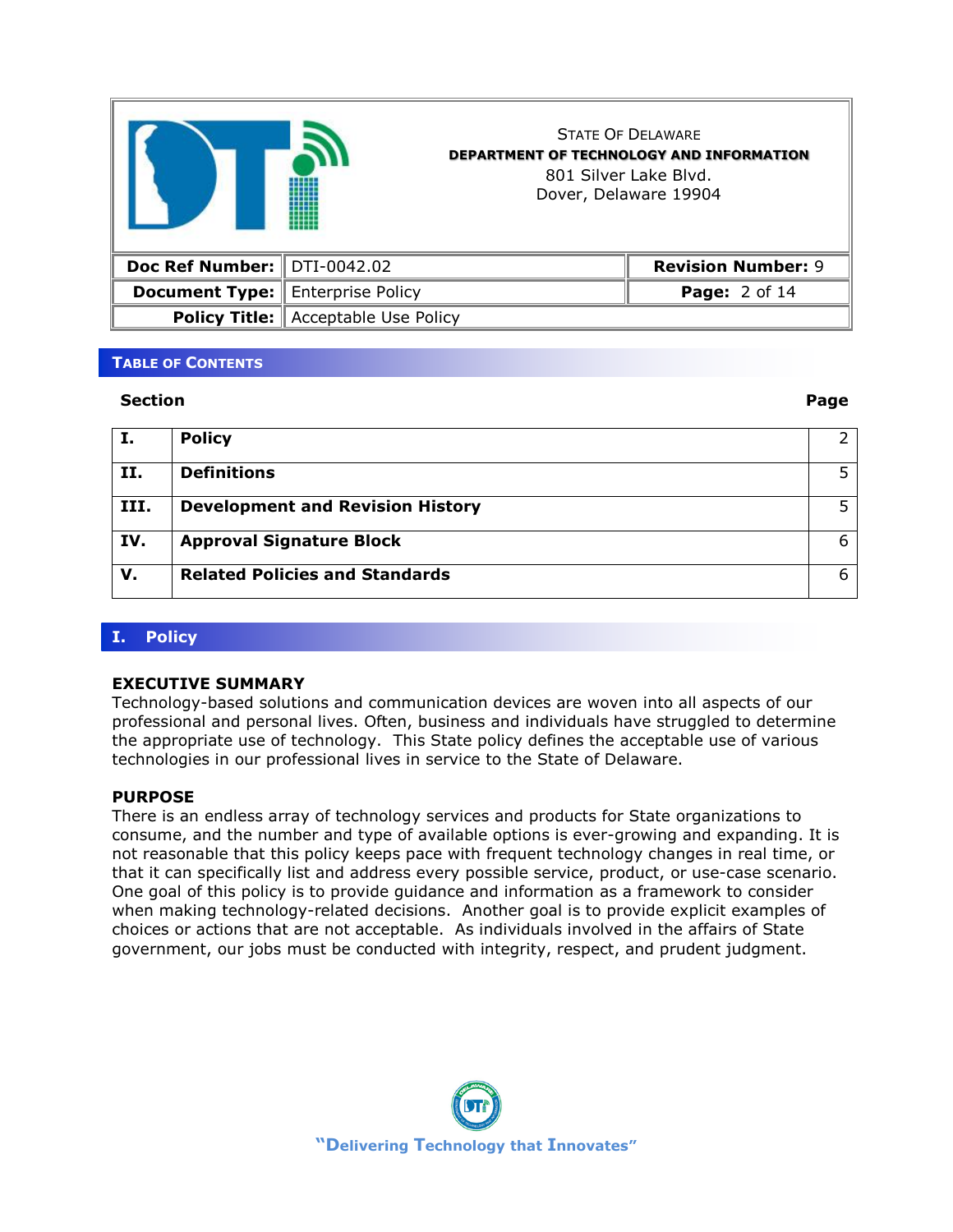

STATE OF DELAWARE **DEPARTMENT OF TECHNOLOGY AND INFORMATION** 801 Silver Lake Blvd. Dover, Delaware 19904

| Doc Ref Number: $\parallel$ DTI-0042.02 |                                            | <b>Revision Number: 9</b> |
|-----------------------------------------|--------------------------------------------|---------------------------|
| <b>Document Type: Enterprise Policy</b> |                                            | <b>Page:</b> $2$ of 14    |
|                                         | <b>Policy Title:</b> Acceptable Use Policy |                           |

### **TABLE OF CONTENTS**

#### **Section Page**

| Ι.   | <b>Policy</b>                           |     |
|------|-----------------------------------------|-----|
| II.  | <b>Definitions</b>                      |     |
| III. | <b>Development and Revision History</b> | .5. |
| IV.  | <b>Approval Signature Block</b>         | 6   |
| v.   | <b>Related Policies and Standards</b>   | 6   |

### **I. Policy**

#### **EXECUTIVE SUMMARY**

Technology-based solutions and communication devices are woven into all aspects of our professional and personal lives. Often, business and individuals have struggled to determine the appropriate use of technology. This State policy defines the acceptable use of various technologies in our professional lives in service to the State of Delaware.

### **PURPOSE**

There is an endless array of technology services and products for State organizations to consume, and the number and type of available options is ever-growing and expanding. It is not reasonable that this policy keeps pace with frequent technology changes in real time, or that it can specifically list and address every possible service, product, or use-case scenario. One goal of this policy is to provide guidance and information as a framework to consider when making technology-related decisions. Another goal is to provide explicit examples of choices or actions that are not acceptable. As individuals involved in the affairs of State government, our jobs must be conducted with integrity, respect, and prudent judgment.

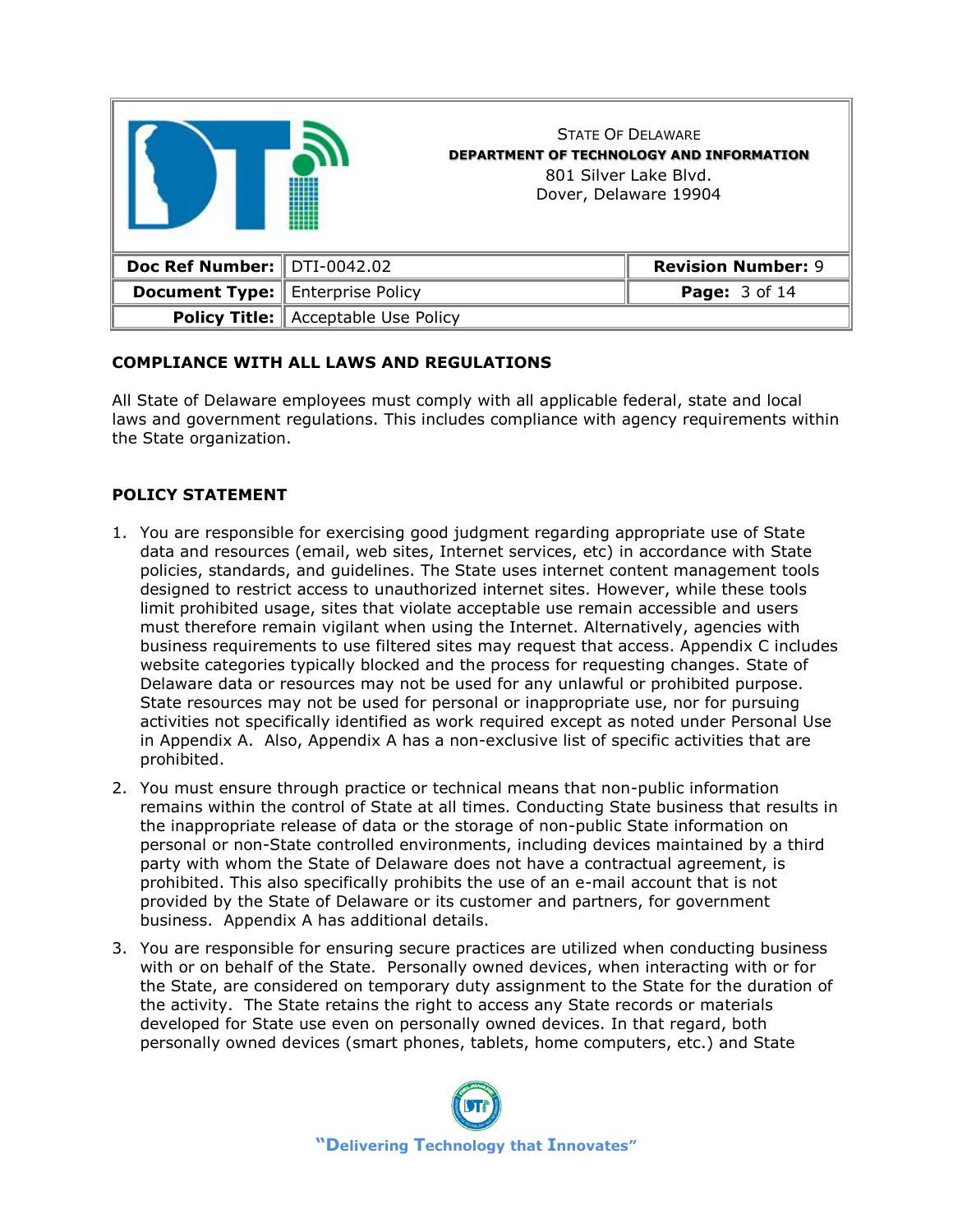

## **COMPLIANCE WITH ALL LAWS AND REGULATIONS**

All State of Delaware employees must comply with all applicable federal, state and local laws and government regulations. This includes compliance with agency requirements within the State organization.

## **POLICY STATEMENT**

- 1. You are responsible for exercising good judgment regarding appropriate use of State data and resources (email, web sites, Internet services, etc) in accordance with State policies, standards, and guidelines. The State uses internet content management tools designed to restrict access to unauthorized internet sites. However, while these tools limit prohibited usage, sites that violate acceptable use remain accessible and users must therefore remain vigilant when using the Internet. Alternatively, agencies with business requirements to use filtered sites may request that access. Appendix C includes website categories typically blocked and the process for requesting changes. State of Delaware data or resources may not be used for any unlawful or prohibited purpose. State resources may not be used for personal or inappropriate use, nor for pursuing activities not specifically identified as work required except as noted under Personal Use in Appendix A. Also, Appendix A has a non-exclusive list of specific activities that are prohibited.
- 2. You must ensure through practice or technical means that non-public information remains within the control of State at all times. Conducting State business that results in the inappropriate release of data or the storage of non-public State information on personal or non-State controlled environments, including devices maintained by a third party with whom the State of Delaware does not have a contractual agreement, is prohibited. This also specifically prohibits the use of an e-mail account that is not provided by the State of Delaware or its customer and partners, for government business. Appendix A has additional details.
- 3. You are responsible for ensuring secure practices are utilized when conducting business with or on behalf of the State. Personally owned devices, when interacting with or for the State, are considered on temporary duty assignment to the State for the duration of the activity. The State retains the right to access any State records or materials developed for State use even on personally owned devices. In that regard, both personally owned devices (smart phones, tablets, home computers, etc.) and State

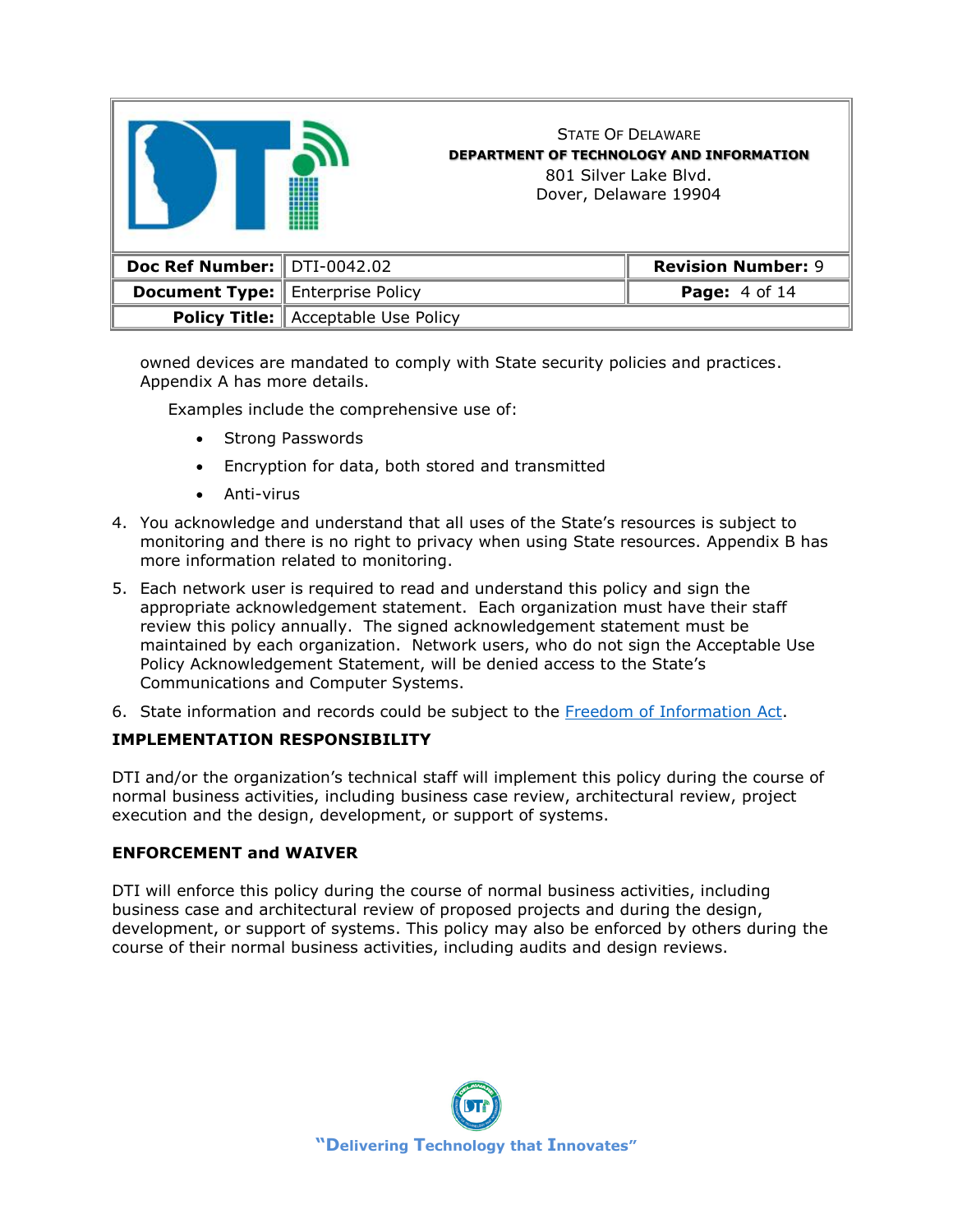|                                         |                                            | <b>STATE OF DELAWARE</b><br><b>DEPARTMENT OF TECHNOLOGY AND INFORMATION</b><br>801 Silver Lake Blyd.<br>Dover, Delaware 19904 |
|-----------------------------------------|--------------------------------------------|-------------------------------------------------------------------------------------------------------------------------------|
| Doc Ref Number: DTI-0042.02             |                                            | <b>Revision Number: 9</b>                                                                                                     |
| <b>Document Type:</b> Enterprise Policy |                                            | Page: 4 of 14                                                                                                                 |
|                                         | <b>Policy Title:</b> Acceptable Use Policy |                                                                                                                               |

owned devices are mandated to comply with State security policies and practices. Appendix A has more details.

Examples include the comprehensive use of:

- Strong Passwords
- Encryption for data, both stored and transmitted
- Anti-virus
- 4. You acknowledge and understand that all uses of the State's resources is subject to monitoring and there is no right to privacy when using State resources. Appendix B has more information related to monitoring.
- 5. Each network user is required to read and understand this policy and sign the appropriate acknowledgement statement. Each organization must have their staff review this policy annually. The signed acknowledgement statement must be maintained by each organization. Network users, who do not sign the Acceptable Use Policy Acknowledgement Statement, will be denied access to the State's Communications and Computer Systems.
- 6. State information and records could be subject to the [Freedom of Information Act.](https://www.justice.gov/oip/freedom-information-act-5-usc-552)

### **IMPLEMENTATION RESPONSIBILITY**

DTI and/or the organization's technical staff will implement this policy during the course of normal business activities, including business case review, architectural review, project execution and the design, development, or support of systems.

#### **ENFORCEMENT and WAIVER**

DTI will enforce this policy during the course of normal business activities, including business case and architectural review of proposed projects and during the design, development, or support of systems. This policy may also be enforced by others during the course of their normal business activities, including audits and design reviews.

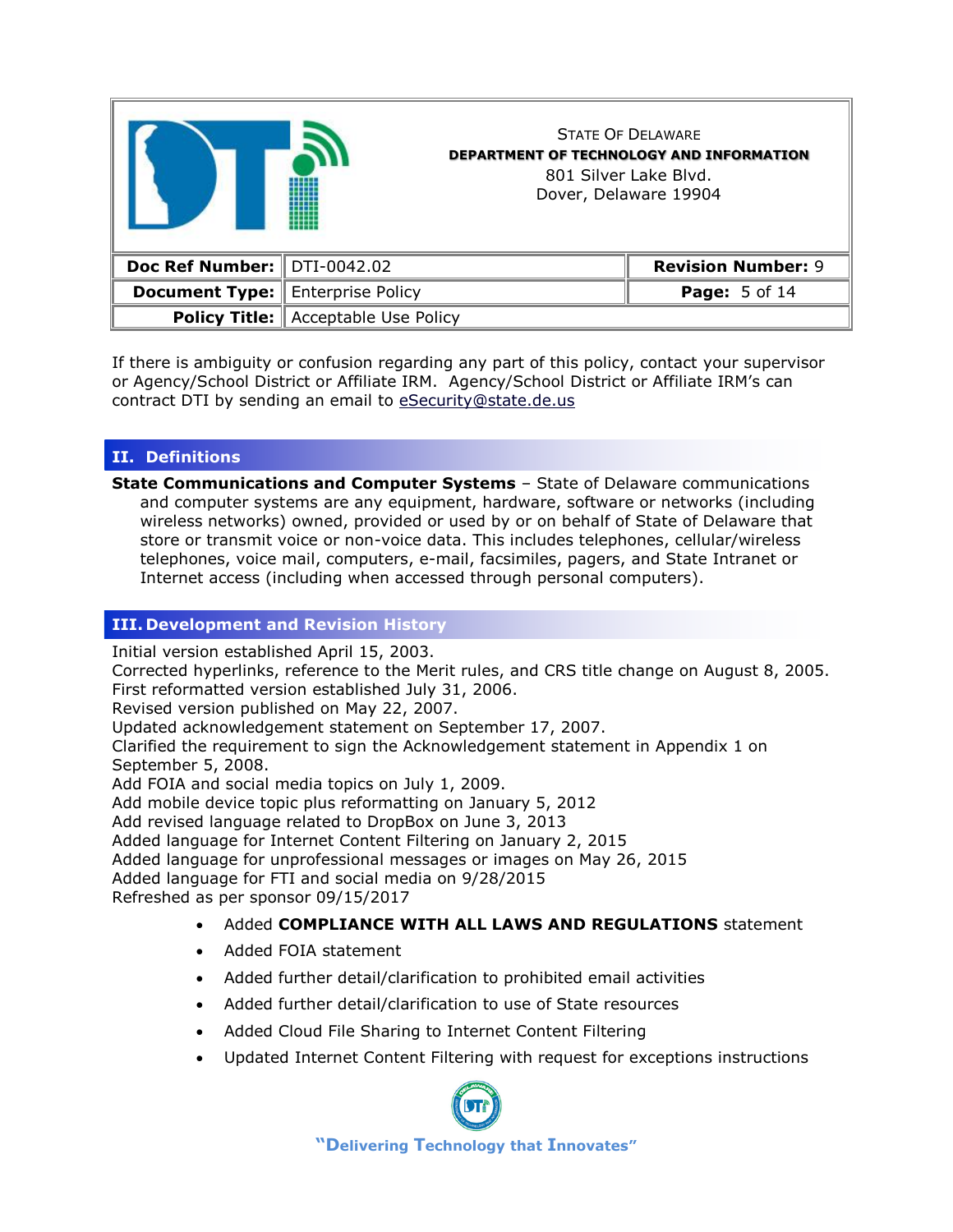|                             |                                            | <b>STATE OF DELAWARE</b><br><b>DEPARTMENT OF TECHNOLOGY AND INFORMATION</b><br>801 Silver Lake Blyd.<br>Dover, Delaware 19904 |
|-----------------------------|--------------------------------------------|-------------------------------------------------------------------------------------------------------------------------------|
| Doc Ref Number: DTI-0042.02 |                                            | <b>Revision Number: 9</b>                                                                                                     |
| <b>Document Type:</b>       | Enterprise Policy                          | <b>Page: 5 of 14</b>                                                                                                          |
|                             | <b>Policy Title:</b> Acceptable Use Policy |                                                                                                                               |

If there is ambiguity or confusion regarding any part of this policy, contact your supervisor or Agency/School District or Affiliate IRM. Agency/School District or Affiliate IRM's can contract DTI by sending an email to [eSecurity@state.de.us](mailto:eSecurity@state.de.us?subject=AUP%20question)

## **II. Definitions**

**State Communications and Computer Systems** – State of Delaware communications and computer systems are any equipment, hardware, software or networks (including wireless networks) owned, provided or used by or on behalf of State of Delaware that store or transmit voice or non-voice data. This includes telephones, cellular/wireless telephones, voice mail, computers, e-mail, facsimiles, pagers, and State Intranet or Internet access (including when accessed through personal computers).

## **III. Development and Revision History**

Initial version established April 15, 2003.

Corrected hyperlinks, reference to the Merit rules, and CRS title change on August 8, 2005. First reformatted version established July 31, 2006.

Revised version published on May 22, 2007.

Updated acknowledgement statement on September 17, 2007.

Clarified the requirement to sign the Acknowledgement statement in Appendix 1 on September 5, 2008.

Add FOIA and social media topics on July 1, 2009.

Add mobile device topic plus reformatting on January 5, 2012

Add revised language related to DropBox on June 3, 2013

Added language for Internet Content Filtering on January 2, 2015

Added language for unprofessional messages or images on May 26, 2015

Added language for FTI and social media on 9/28/2015

Refreshed as per sponsor 09/15/2017

- Added **COMPLIANCE WITH ALL LAWS AND REGULATIONS** statement
- Added FOIA statement
- Added further detail/clarification to prohibited email activities
- Added further detail/clarification to use of State resources
- Added Cloud File Sharing to Internet Content Filtering
- Updated Internet Content Filtering with request for exceptions instructions

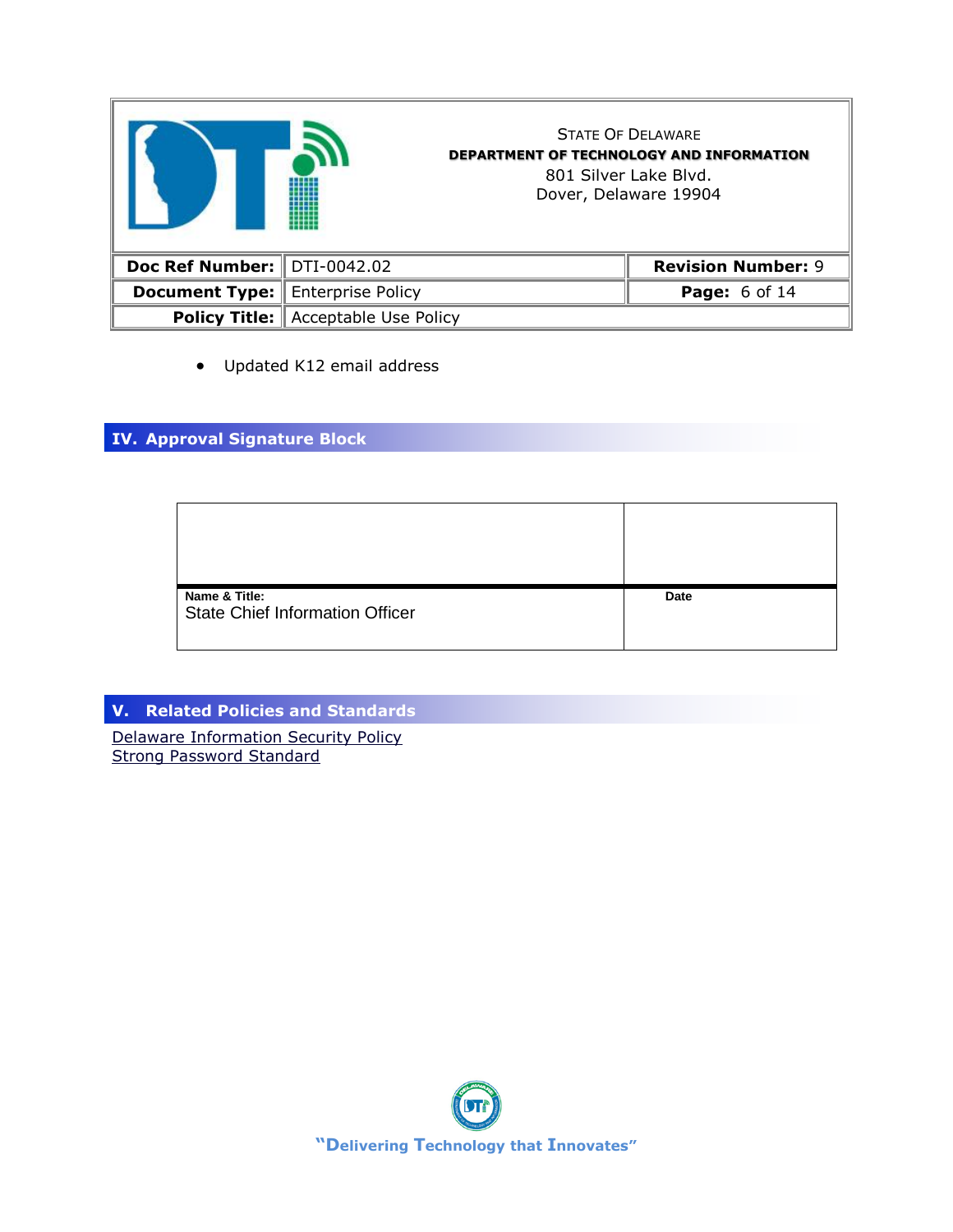|                               |                                            | <b>STATE OF DELAWARE</b><br><b>DEPARTMENT OF TECHNOLOGY AND INFORMATION</b><br>801 Silver Lake Blyd.<br>Dover, Delaware 19904 |
|-------------------------------|--------------------------------------------|-------------------------------------------------------------------------------------------------------------------------------|
| Doc Ref Number:   DTI-0042.02 |                                            | <b>Revision Number: 9</b>                                                                                                     |
| <b>Document Type:</b>         | <b>Enterprise Policy</b>                   | <b>Page:</b> 6 of 14                                                                                                          |
|                               | <b>Policy Title:</b> Acceptable Use Policy |                                                                                                                               |

• Updated K12 email address

# **IV. Approval Signature Block**

| Name & Title:<br><b>State Chief Information Officer</b> | Date |
|---------------------------------------------------------|------|

# **V. Related Policies and Standards**

[Delaware Information Security Policy](http://dti.delaware.gov/pdfs/pp/DelawareInformationSecurityPolicy.pdf) [Strong Password Standard](http://dti.delaware.gov/pdfs/pp/StrongPasswordStandard.pdf)

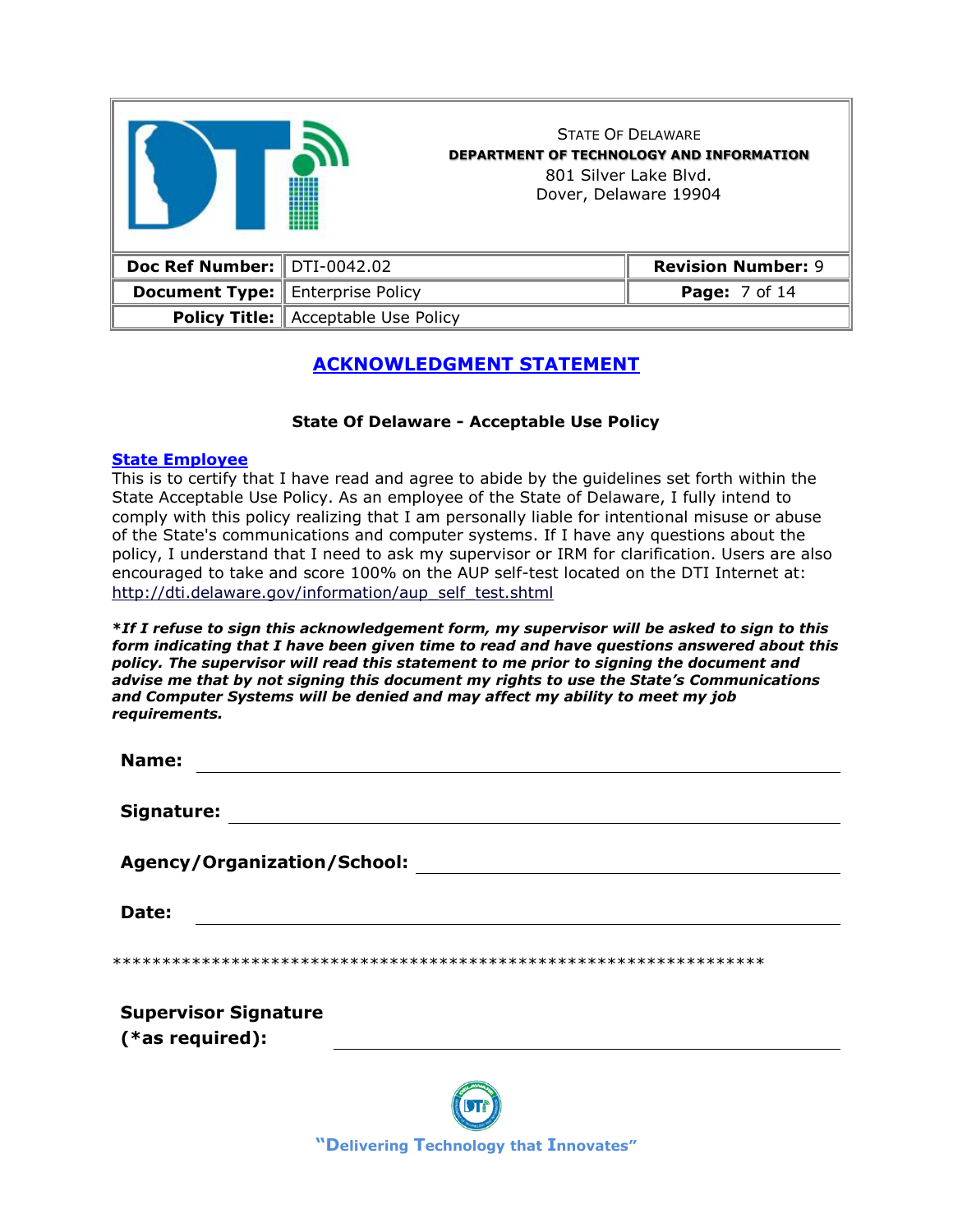|                                         |                                            | <b>STATE OF DELAWARE</b><br><b>DEPARTMENT OF TECHNOLOGY AND INFORMATION</b><br>801 Silver Lake Blyd.<br>Dover, Delaware 19904 |
|-----------------------------------------|--------------------------------------------|-------------------------------------------------------------------------------------------------------------------------------|
| Doc Ref Number: $\parallel$ DTI-0042.02 |                                            | <b>Revision Number: 9</b>                                                                                                     |
| <b>Document Type:</b>                   | <b>Enterprise Policy</b>                   | <b>Page:</b> 7 of 14                                                                                                          |
|                                         | <b>Policy Title:</b> Acceptable Use Policy |                                                                                                                               |

# **ACKNOWLEDGMENT STATEMENT**

## **State Of Delaware - Acceptable Use Policy**

### **State Employee**

This is to certify that I have read and agree to abide by the guidelines set forth within the State Acceptable Use Policy. As an employee of the State of Delaware, I fully intend to comply with this policy realizing that I am personally liable for intentional misuse or abuse of the State's communications and computer systems. If I have any questions about the policy, I understand that I need to ask my supervisor or IRM for clarification. Users are also encouraged to take and score 100% on the AUP self-test located on the DTI Internet at: [http://dti.delaware.gov/information/aup\\_self\\_test.shtml](http://dti.delaware.gov/information/aup_self_test.shtml)

**\****If I refuse to sign this acknowledgement form, my supervisor will be asked to sign to this form indicating that I have been given time to read and have questions answered about this policy. The supervisor will read this statement to me prior to signing the document and advise me that by not signing this document my rights to use the State's Communications and Computer Systems will be denied and may affect my ability to meet my job requirements.*

| Name:                       |  |
|-----------------------------|--|
| Signature:                  |  |
| Agency/Organization/School: |  |
| Date:                       |  |
|                             |  |
| <b>Supervisor Signature</b> |  |
| $(*as required):$           |  |
|                             |  |

**"Delivering Technology that Innovates"**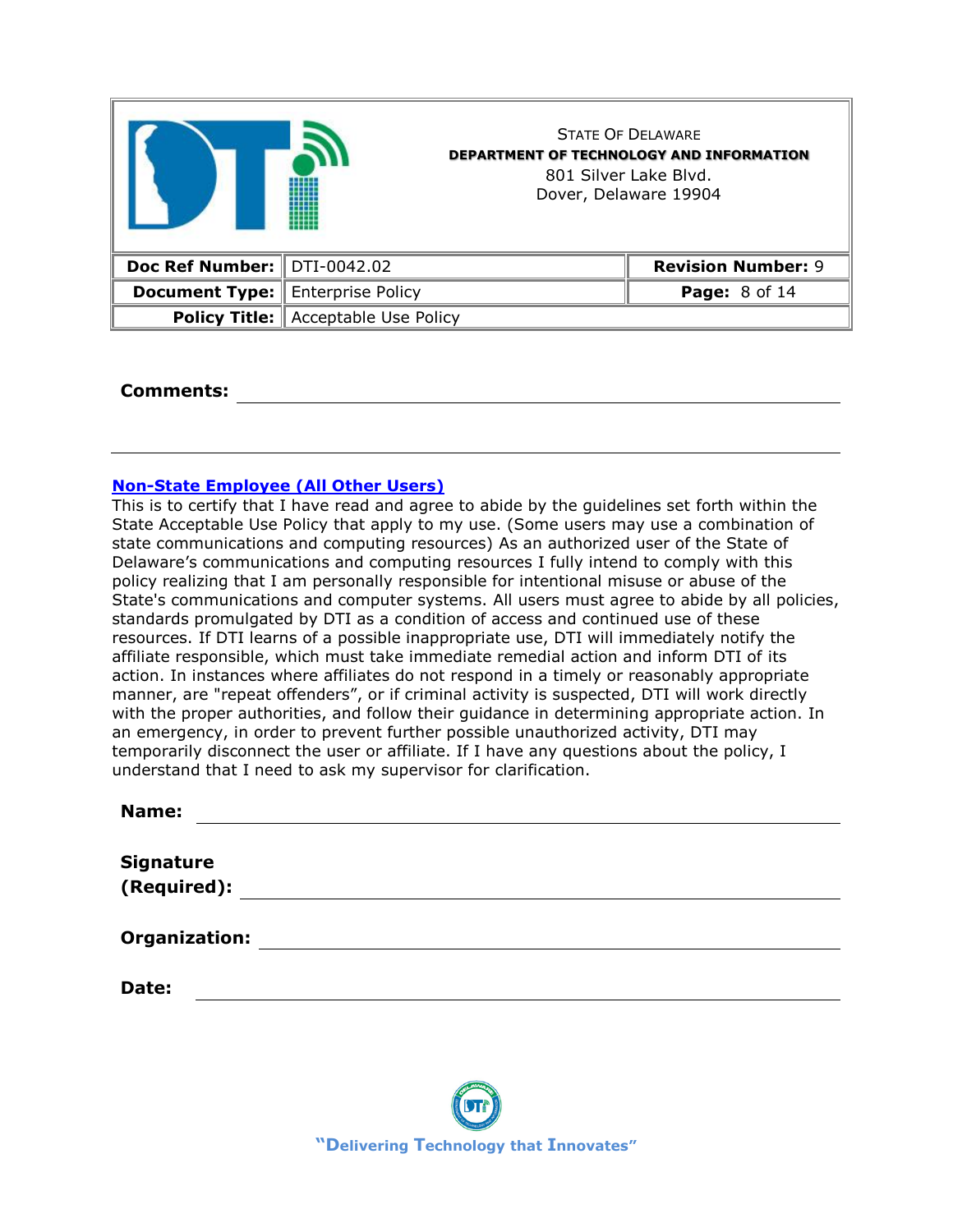|                               |                          | <b>STATE OF DELAWARE</b><br><b>DEPARTMENT OF TECHNOLOGY AND INFORMATION</b><br>801 Silver Lake Blyd.<br>Dover, Delaware 19904 |
|-------------------------------|--------------------------|-------------------------------------------------------------------------------------------------------------------------------|
| Doc Ref Number:   DTI-0042.02 |                          | <b>Revision Number: 9</b>                                                                                                     |
| <b>Document Type:</b>         | <b>Enterprise Policy</b> | <b>Page: 8 of 14</b>                                                                                                          |
| <b>Policy Title:</b>          | Acceptable Use Policy    |                                                                                                                               |

### **Comments:**

### **Non-State Employee (All Other Users)**

This is to certify that I have read and agree to abide by the guidelines set forth within the State Acceptable Use Policy that apply to my use. (Some users may use a combination of state communications and computing resources) As an authorized user of the State of Delaware's communications and computing resources I fully intend to comply with this policy realizing that I am personally responsible for intentional misuse or abuse of the State's communications and computer systems. All users must agree to abide by all policies, standards promulgated by DTI as a condition of access and continued use of these resources. If DTI learns of a possible inappropriate use, DTI will immediately notify the affiliate responsible, which must take immediate remedial action and inform DTI of its action. In instances where affiliates do not respond in a timely or reasonably appropriate manner, are "repeat offenders", or if criminal activity is suspected, DTI will work directly with the proper authorities, and follow their guidance in determining appropriate action. In an emergency, in order to prevent further possible unauthorized activity, DTI may temporarily disconnect the user or affiliate. If I have any questions about the policy, I understand that I need to ask my supervisor for clarification.

| Name:                |  |  |
|----------------------|--|--|
|                      |  |  |
| <b>Signature</b>     |  |  |
| (Required):          |  |  |
|                      |  |  |
| <b>Organization:</b> |  |  |
|                      |  |  |
| Date:                |  |  |
|                      |  |  |

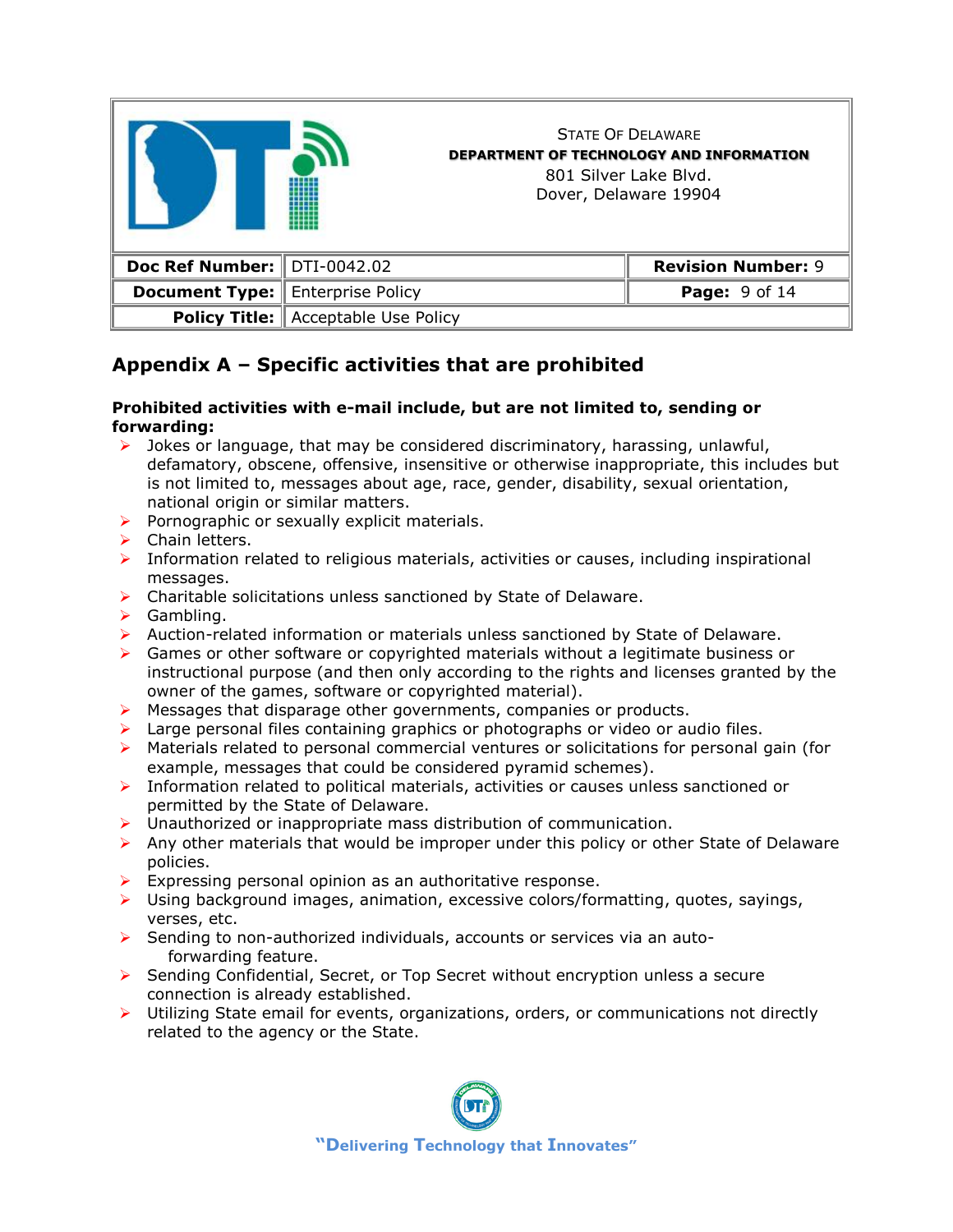

# **Appendix A – Specific activities that are prohibited**

### **Prohibited activities with e-mail include, but are not limited to, sending or forwarding:**

- $\triangleright$  Jokes or language, that may be considered discriminatory, harassing, unlawful, defamatory, obscene, offensive, insensitive or otherwise inappropriate, this includes but is not limited to, messages about age, race, gender, disability, sexual orientation, national origin or similar matters.
- $\triangleright$  Pornographic or sexually explicit materials.
- ➢ Chain letters.
- ➢ Information related to religious materials, activities or causes, including inspirational messages.
- ➢ Charitable solicitations unless sanctioned by State of Delaware.
- ➢ Gambling.
- ➢ Auction-related information or materials unless sanctioned by State of Delaware.
- ➢ Games or other software or copyrighted materials without a legitimate business or instructional purpose (and then only according to the rights and licenses granted by the owner of the games, software or copyrighted material).
- $\triangleright$  Messages that disparage other governments, companies or products.
- $\triangleright$  Large personal files containing graphics or photographs or video or audio files.
- ➢ Materials related to personal commercial ventures or solicitations for personal gain (for example, messages that could be considered pyramid schemes).
- ➢ Information related to political materials, activities or causes unless sanctioned or permitted by the State of Delaware.
- $\triangleright$  Unauthorized or inappropriate mass distribution of communication.
- $\triangleright$  Any other materials that would be improper under this policy or other State of Delaware policies.
- $\triangleright$  Expressing personal opinion as an authoritative response.
- $\triangleright$  Using background images, animation, excessive colors/formatting, quotes, sayings, verses, etc.
- $\triangleright$  Sending to non-authorized individuals, accounts or services via an autoforwarding feature.
- ➢ Sending Confidential, Secret, or Top Secret without encryption unless a secure connection is already established.
- $\triangleright$  Utilizing State email for events, organizations, orders, or communications not directly related to the agency or the State.

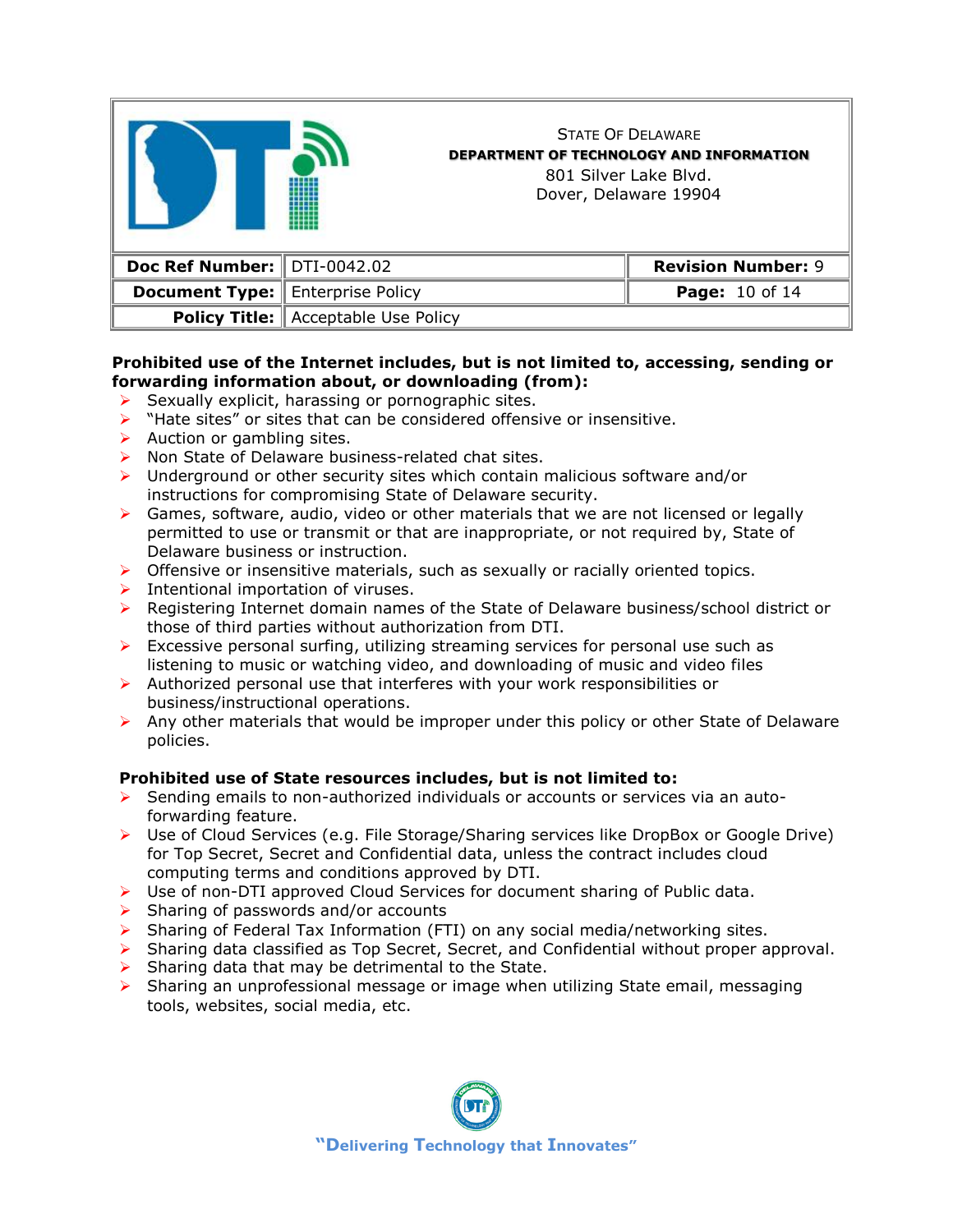

### **Prohibited use of the Internet includes, but is not limited to, accessing, sending or forwarding information about, or downloading (from):**

- $\triangleright$  Sexually explicit, harassing or pornographic sites.
- ➢ "Hate sites" or sites that can be considered offensive or insensitive.
- $\triangleright$  Auction or gambling sites.
- ➢ Non State of Delaware business-related chat sites.
- ➢ Underground or other security sites which contain malicious software and/or instructions for compromising State of Delaware security.
- $\triangleright$  Games, software, audio, video or other materials that we are not licensed or legally permitted to use or transmit or that are inappropriate, or not required by, State of Delaware business or instruction.
- $\triangleright$  Offensive or insensitive materials, such as sexually or racially oriented topics.
- ➢ Intentional importation of viruses.
- ➢ Registering Internet domain names of the State of Delaware business/school district or those of third parties without authorization from DTI.
- $\triangleright$  Excessive personal surfing, utilizing streaming services for personal use such as listening to music or watching video, and downloading of music and video files
- ➢ Authorized personal use that interferes with your work responsibilities or business/instructional operations.
- $\triangleright$  Any other materials that would be improper under this policy or other State of Delaware policies.

## **Prohibited use of State resources includes, but is not limited to:**

- ➢ Sending emails to non-authorized individuals or accounts or services via an autoforwarding feature.
- ➢ Use of Cloud Services (e.g. File Storage/Sharing services like DropBox or Google Drive) for Top Secret, Secret and Confidential data, unless the contract includes cloud computing terms and conditions approved by DTI.
- ➢ Use of non-DTI approved Cloud Services for document sharing of Public data.
- $\triangleright$  Sharing of passwords and/or accounts
- $\triangleright$  Sharing of Federal Tax Information (FTI) on any social media/networking sites.
- ➢ Sharing data classified as Top Secret, Secret, and Confidential without proper approval.
- Sharing data that may be detrimental to the State.
- $\triangleright$  Sharing an unprofessional message or image when utilizing State email, messaging tools, websites, social media, etc.

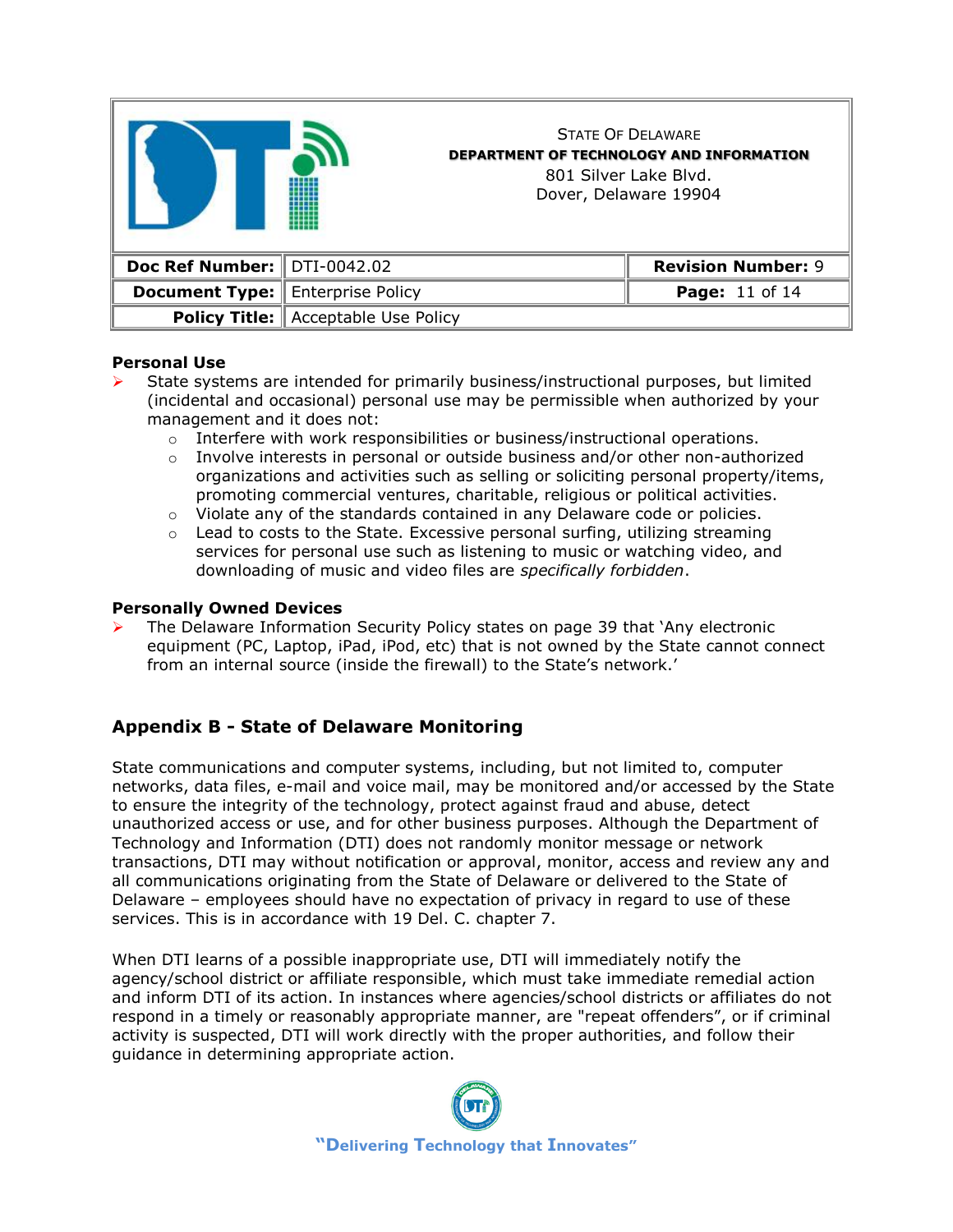

### **Personal Use**

- ➢ State systems are intended for primarily business/instructional purposes, but limited (incidental and occasional) personal use may be permissible when authorized by your management and it does not:
	- $\circ$  Interfere with work responsibilities or business/instructional operations.
	- $\circ$  Involve interests in personal or outside business and/or other non-authorized organizations and activities such as selling or soliciting personal property/items, promoting commercial ventures, charitable, religious or political activities.
	- o Violate any of the standards contained in any Delaware code or policies.
	- $\circ$  Lead to costs to the State. Excessive personal surfing, utilizing streaming services for personal use such as listening to music or watching video, and downloading of music and video files are *specifically forbidden*.

### **Personally Owned Devices**

➢ The Delaware Information Security Policy states on page 39 that 'Any electronic equipment (PC, Laptop, iPad, iPod, etc) that is not owned by the State cannot connect from an internal source (inside the firewall) to the State's network.'

# **Appendix B - State of Delaware Monitoring**

State communications and computer systems, including, but not limited to, computer networks, data files, e-mail and voice mail, may be monitored and/or accessed by the State to ensure the integrity of the technology, protect against fraud and abuse, detect unauthorized access or use, and for other business purposes. Although the Department of Technology and Information (DTI) does not randomly monitor message or network transactions, DTI may without notification or approval, monitor, access and review any and all communications originating from the State of Delaware or delivered to the State of Delaware – employees should have no expectation of privacy in regard to use of these services. This is in accordance with 19 Del. C. chapter 7.

When DTI learns of a possible inappropriate use, DTI will immediately notify the agency/school district or affiliate responsible, which must take immediate remedial action and inform DTI of its action. In instances where agencies/school districts or affiliates do not respond in a timely or reasonably appropriate manner, are "repeat offenders", or if criminal activity is suspected, DTI will work directly with the proper authorities, and follow their guidance in determining appropriate action.

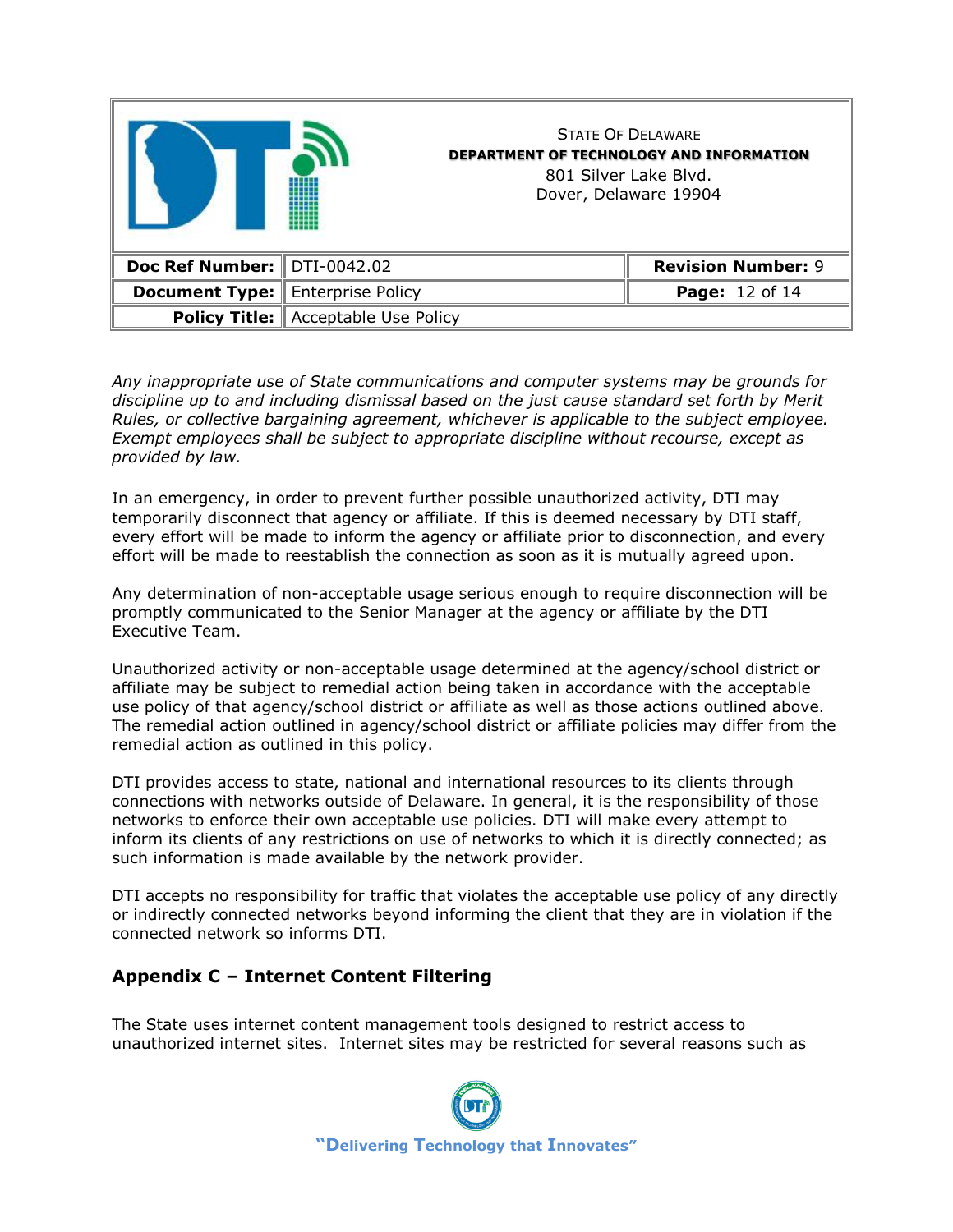|                               |                                            | <b>STATE OF DELAWARE</b><br><b>DEPARTMENT OF TECHNOLOGY AND INFORMATION</b><br>801 Silver Lake Blyd.<br>Dover, Delaware 19904 |                           |
|-------------------------------|--------------------------------------------|-------------------------------------------------------------------------------------------------------------------------------|---------------------------|
| Doc Ref Number:   DTI-0042.02 |                                            |                                                                                                                               | <b>Revision Number: 9</b> |
| <b>Document Type:</b>         | Enterprise Policy                          |                                                                                                                               | Page: 12 of 14            |
|                               | <b>Policy Title:</b> Acceptable Use Policy |                                                                                                                               |                           |

*Any inappropriate use of State communications and computer systems may be grounds for discipline up to and including dismissal based on the just cause standard set forth by Merit Rules, or collective bargaining agreement, whichever is applicable to the subject employee. Exempt employees shall be subject to appropriate discipline without recourse, except as provided by law.*

In an emergency, in order to prevent further possible unauthorized activity, DTI may temporarily disconnect that agency or affiliate. If this is deemed necessary by DTI staff, every effort will be made to inform the agency or affiliate prior to disconnection, and every effort will be made to reestablish the connection as soon as it is mutually agreed upon.

Any determination of non-acceptable usage serious enough to require disconnection will be promptly communicated to the Senior Manager at the agency or affiliate by the DTI Executive Team.

Unauthorized activity or non-acceptable usage determined at the agency/school district or affiliate may be subject to remedial action being taken in accordance with the acceptable use policy of that agency/school district or affiliate as well as those actions outlined above. The remedial action outlined in agency/school district or affiliate policies may differ from the remedial action as outlined in this policy.

DTI provides access to state, national and international resources to its clients through connections with networks outside of Delaware. In general, it is the responsibility of those networks to enforce their own acceptable use policies. DTI will make every attempt to inform its clients of any restrictions on use of networks to which it is directly connected; as such information is made available by the network provider.

DTI accepts no responsibility for traffic that violates the acceptable use policy of any directly or indirectly connected networks beyond informing the client that they are in violation if the connected network so informs DTI.

# **Appendix C – Internet Content Filtering**

The State uses internet content management tools designed to restrict access to unauthorized internet sites. Internet sites may be restricted for several reasons such as

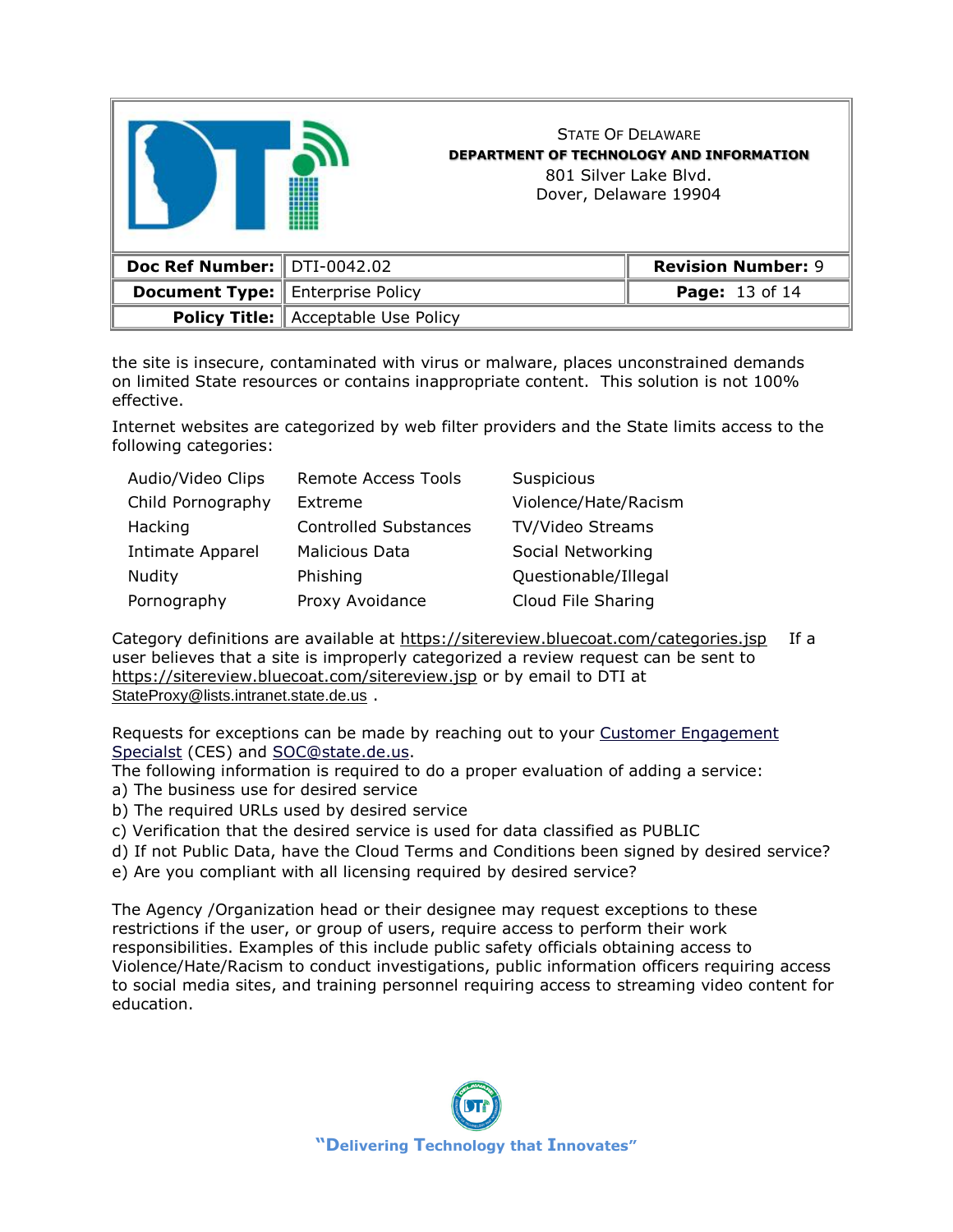|                               |                                              | <b>STATE OF DELAWARE</b><br><b>DEPARTMENT OF TECHNOLOGY AND INFORMATION</b><br>801 Silver Lake Blyd.<br>Dover, Delaware 19904 |                           |
|-------------------------------|----------------------------------------------|-------------------------------------------------------------------------------------------------------------------------------|---------------------------|
| Doc Ref Number:   DTI-0042.02 |                                              |                                                                                                                               | <b>Revision Number: 9</b> |
| <b>Document Type:</b>         | <b>Enterprise Policy</b>                     |                                                                                                                               | Page: 13 of 14            |
|                               | <b>Policy Title:   Acceptable Use Policy</b> |                                                                                                                               |                           |

the site is insecure, contaminated with virus or malware, places unconstrained demands on limited State resources or contains inappropriate content. This solution is not 100% effective.

Internet websites are categorized by web filter providers and the State limits access to the following categories:

| Audio/Video Clips       | <b>Remote Access Tools</b>   | Suspicious           |
|-------------------------|------------------------------|----------------------|
| Child Pornography       | Extreme                      | Violence/Hate/Racism |
| Hacking                 | <b>Controlled Substances</b> | TV/Video Streams     |
| <b>Intimate Apparel</b> | <b>Malicious Data</b>        | Social Networking    |
| Nudity                  | Phishing                     | Questionable/Illegal |
| Pornography             | Proxy Avoidance              | Cloud File Sharing   |

Category definitions are available at<https://sitereview.bluecoat.com/categories.jsp> If a user believes that a site is improperly categorized a review request can be sent to <https://sitereview.bluecoat.com/sitereview.jsp> or by email to DTI at [StateProxy@lists.intranet.state.de.us](mailto:StateProxy@lists.intranet.state.de.us) .

Requests for exceptions can be made by reaching out to your [Customer Engagement](http://extranet.dti.state.de.us/information/pmo/cet-assignments.shtml)  [Specialst](http://extranet.dti.state.de.us/information/pmo/cet-assignments.shtml) (CES) and [SOC@state.de.us.](mailto:SOC@state.de.us)

The following information is required to do a proper evaluation of adding a service: a) The business use for desired service

- b) The required URLs used by desired service
- c) Verification that the desired service is used for data classified as PUBLIC
- d) If not Public Data, have the Cloud Terms and Conditions been signed by desired service?
- e) Are you compliant with all licensing required by desired service?

The Agency /Organization head or their designee may request exceptions to these restrictions if the user, or group of users, require access to perform their work responsibilities. Examples of this include public safety officials obtaining access to Violence/Hate/Racism to conduct investigations, public information officers requiring access to social media sites, and training personnel requiring access to streaming video content for education.